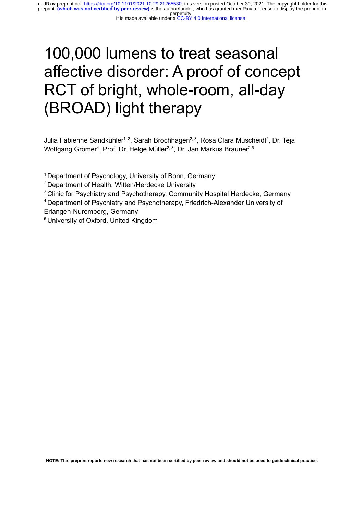# 100,000 lumens to treat seasonal affective disorder: A proof of concept RCT of bright, whole-room, all-day (BROAD) light therapy

Julia Fabienne Sandkühler<sup>1, 2</sup>, Sarah Brochhagen<sup>2, 3</sup>, Rosa Clara Muscheidt<sup>2</sup>, Dr. Teja Wolfgang Grömer<sup>4</sup>, Prof. Dr. Helge Müller<sup>2, 3</sup>, Dr. Jan Markus Brauner<sup>2,5</sup>

<sup>1</sup> Department of Psychology, University of Bonn, Germany

<sup>2</sup> Department of Health, Witten/Herdecke University

<sup>3</sup> Clinic for Psychiatry and Psychotherapy, Community Hospital Herdecke, Germany

<sup>4</sup> Department of Psychiatry and Psychotherapy, Friedrich-Alexander University of Erlangen-Nuremberg, Germany

<sup>5</sup> University of Oxford, United Kingdom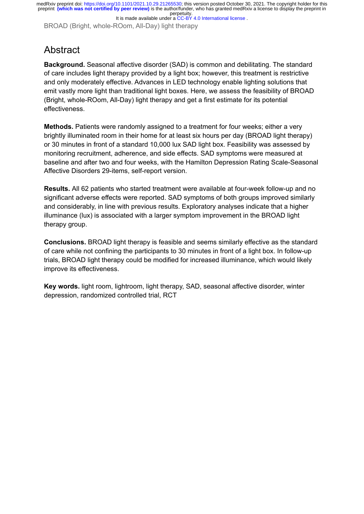BROAD (Bright, whole-ROom, All-Day) light therapy

### **Abstract**

**Background.** Seasonal affective disorder (SAD) is common and debilitating. The standard of care includes light therapy provided by a light box; however, this treatment is restrictive and only moderately effective. Advances in LED technology enable lighting solutions that emit vastly more light than traditional light boxes. Here, we assess the feasibility of BROAD (Bright, whole-ROom, All-Day) light therapy and get a first estimate for its potential effectiveness.

**Methods.** Patients were randomly assigned to a treatment for four weeks; either a very brightly illuminated room in their home for at least six hours per day (BROAD light therapy) or 30 minutes in front of a standard 10,000 lux SAD light box. Feasibility was assessed by monitoring recruitment, adherence, and side effects. SAD symptoms were measured at baseline and after two and four weeks, with the Hamilton Depression Rating Scale-Seasonal Affective Disorders 29-items, self-report version.

**Results.** All 62 patients who started treatment were available at four-week follow-up and no significant adverse effects were reported. SAD symptoms of both groups improved similarly and considerably, in line with previous results. Exploratory analyses indicate that a higher illuminance (lux) is associated with a larger symptom improvement in the BROAD light therapy group.

**Conclusions.** BROAD light therapy is feasible and seems similarly effective as the standard of care while not confining the participants to 30 minutes in front of a light box. In follow-up trials, BROAD light therapy could be modified for increased illuminance, which would likely improve its effectiveness.

**Key words.** light room, lightroom, light therapy, SAD, seasonal affective disorder, winter depression, randomized controlled trial, RCT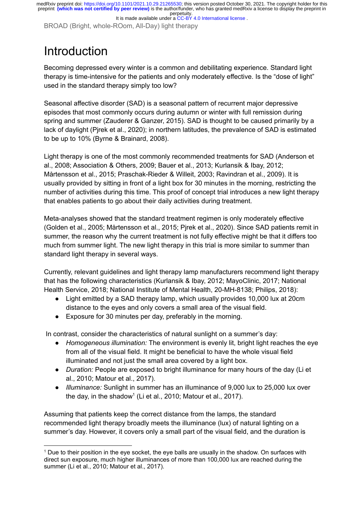BROAD (Bright, whole-ROom, All-Day) light therapy

# Introduction

Becoming depressed every winter is a common and debilitating experience. Standard light therapy is time-intensive for the patients and only moderately effective. Is the "dose of light" used in the standard therapy simply too low?

Seasonal affective disorder (SAD) is a seasonal pattern of recurrent major depressive episodes that most commonly occurs during autumn or winter with full remission during spring and summer [\(Zauderer](https://paperpile.com/c/IkezdF/bByCJ) & Ganzer, 2015). SAD is thought to be caused primarily by a lack of daylight (Pjrek et al., [2020\);](https://paperpile.com/c/IkezdF/XKs9a) in northern latitudes, the prevalence of SAD is estimated to be up to 10% (Byrne & [Brainard,](https://paperpile.com/c/IkezdF/QiGHQ) 2008).

Light therapy is one of the most commonly recommended treatments for SAD [\(Anderson](https://paperpile.com/c/IkezdF/mw86A+2Ii8U+YmpOD+ViICV+vpmfo+GeHpI+ie7ne) et al., 2008; [Association](https://paperpile.com/c/IkezdF/mw86A+2Ii8U+YmpOD+ViICV+vpmfo+GeHpI+ie7ne) & Others, 2009; Bauer et al., 2013; Kurlansik & Ibay, 2012; Mårtensson et al., 2015; [Praschak-Rieder](https://paperpile.com/c/IkezdF/mw86A+2Ii8U+YmpOD+ViICV+vpmfo+GeHpI+ie7ne) & Willeit, 2003; Ravindran et al., 2009). It is usually provided by sitting in front of a light box for 30 minutes in the morning, restricting the number of activities during this time. This proof of concept trial introduces a new light therapy that enables patients to go about their daily activities during treatment.

Meta-analyses showed that the standard treatment regimen is only moderately effective (Golden et al., 2005; [Mårtensson](https://paperpile.com/c/IkezdF/foXw+mw86A+XKs9a) et al., 2015; Pjrek et al., 2020). Since SAD patients remit in summer, the reason why the current treatment is not fully effective might be that it differs too much from summer light. The new light therapy in this trial is more similar to summer than standard light therapy in several ways.

Currently, relevant guidelines and light therapy lamp manufacturers recommend light therapy that has the following characteristics (Kurlansik & Ibay, 2012; [MayoClinic,](https://paperpile.com/c/IkezdF/YmpOD+MXZDb+W2IED+v8Uw5+6hMfB) 2017; National Health Service, 2018; National Institute of Mental Health, [20-MH-8138;](https://paperpile.com/c/IkezdF/YmpOD+MXZDb+W2IED+v8Uw5+6hMfB) Philips, 2018):

- Light emitted by a SAD therapy lamp, which usually provides 10,000 lux at 20cm distance to the eyes and only covers a small area of the visual field.
- Exposure for 30 minutes per day, preferably in the morning.

In contrast, consider the characteristics of natural sunlight on a summer's day:

- *Homogeneous illumination:* The environment is evenly lit, bright light reaches the eye from all of the visual field. It might be beneficial to have the whole visual field illuminated and not just the small area covered by a light box.
- *Duration:* People are exposed to bright illuminance for many hours of the day [\(Li](https://paperpile.com/c/IkezdF/e3ZmM+sLa4D) et al., 2010; [Matour](https://paperpile.com/c/IkezdF/e3ZmM+sLa4D) et al., 2017).
- *Illuminance:* Sunlight in summer has an illuminance of 9,000 lux to 25,000 lux over the day, in the shadow 1 (Li et al., 2010; [Matour](https://paperpile.com/c/IkezdF/e3ZmM+sLa4D) et al., 2017).

Assuming that patients keep the correct distance from the lamps, the standard recommended light therapy broadly meets the illuminance (lux) of natural lighting on a summer's day. However, it covers only a small part of the visual field, and the duration is

 $<sup>1</sup>$  Due to their position in the eve socket, the eve balls are usually in the shadow. On surfaces with</sup> direct sun exposure, much higher illuminances of more than 100,000 lux are reached during the summer (Li et al., 2010; [Matour](https://paperpile.com/c/IkezdF/e3ZmM+sLa4D) et al., 2017).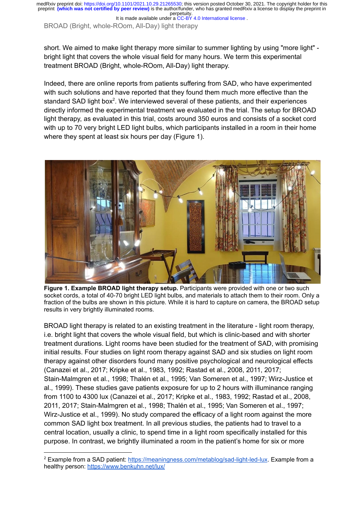It is made available under a CC-BY 4.0 International license.

BROAD (Bright, whole-ROom, All-Day) light therapy

short. We aimed to make light therapy more similar to summer lighting by using "more light" bright light that covers the whole visual field for many hours. We term this experimental treatment BROAD (Bright, whole-ROom, All-Day) light therapy.

Indeed, there are online reports from patients suffering from SAD, who have experimented with such solutions and have reported that they found them much more effective than the standard SAD light box<sup>2</sup>. We interviewed several of these patients, and their experiences directly informed the experimental treatment we evaluated in the trial. The setup for BROAD light therapy, as evaluated in this trial, costs around 350 euros and consists of a socket cord with up to 70 very bright LED light bulbs, which participants installed in a room in their home where they spent at least six hours per day (Figure 1).



**Figure 1. Example BROAD light therapy setup.** Participants were provided with one or two such socket cords, a total of 40-70 bright LED light bulbs, and materials to attach them to their room. Only a fraction of the bulbs are shown in this picture. While it is hard to capture on camera, the BROAD setup results in very brightly illuminated rooms.

BROAD light therapy is related to an existing treatment in the literature - light room therapy, i.e. bright light that covers the whole visual field, but which is clinic-based and with shorter treatment durations. Light rooms have been studied for the treatment of SAD, with promising initial results. Four studies on light room therapy against SAD and six studies on light room therapy against other disorders found many positive psychological and neurological effects [\(Canazei](https://paperpile.com/c/IkezdF/WZPZ+KOio+tah4+FnUK+Nri6+XTjY+oFHf+P2hw+PjtW+iufC) et al., 2017; Kripke et al., 1983, 1992; Rastad et al., 2008, 2011, 2017; [Stain-Malmgren](https://paperpile.com/c/IkezdF/WZPZ+KOio+tah4+FnUK+Nri6+XTjY+oFHf+P2hw+PjtW+iufC) et al., 1998; Thalén et al., 1995; Van Someren et al., 1997; Wirz-Justice et al., [1999\).](https://paperpile.com/c/IkezdF/WZPZ+KOio+tah4+FnUK+Nri6+XTjY+oFHf+P2hw+PjtW+iufC) These studies gave patients exposure for up to 2 hours with illuminance ranging from 1100 to 4300 lux [\(Canazei](https://paperpile.com/c/IkezdF/WZPZ+KOio+tah4+FnUK+Nri6+XTjY+oFHf+P2hw+PjtW+iufC) et al., 2017; Kripke et al., 1983, 1992; Rastad et al., 2008, 2011, 2017; [Stain-Malmgren](https://paperpile.com/c/IkezdF/WZPZ+KOio+tah4+FnUK+Nri6+XTjY+oFHf+P2hw+PjtW+iufC) et al., 1998; Thalén et al., 1995; Van Someren et al., 1997; [Wirz-Justice](https://paperpile.com/c/IkezdF/WZPZ+KOio+tah4+FnUK+Nri6+XTjY+oFHf+P2hw+PjtW+iufC) et al., 1999). No study compared the efficacy of a light room against the more common SAD light box treatment. In all previous studies, the patients had to travel to a central location, usually a clinic, to spend time in a light room specifically installed for this purpose. In contrast, we brightly illuminated a room in the patient's home for six or more

<sup>2</sup> Example from a SAD patient: <https://meaningness.com/metablog/sad-light-led-lux>. Example from a healthy person: <https://www.benkuhn.net/lux/>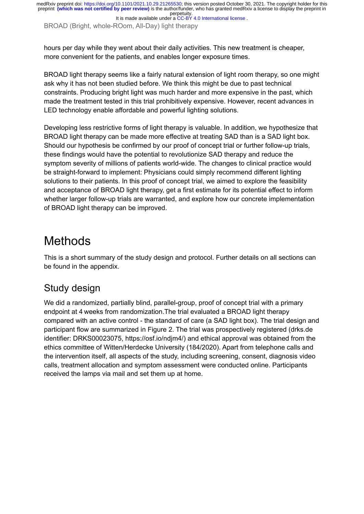It is made available under a CC-BY 4.0 International license.

BROAD (Bright, whole-ROom, All-Day) light therapy

hours per day while they went about their daily activities. This new treatment is cheaper, more convenient for the patients, and enables longer exposure times.

BROAD light therapy seems like a fairly natural extension of light room therapy, so one might ask why it has not been studied before. We think this might be due to past technical constraints. Producing bright light was much harder and more expensive in the past, which made the treatment tested in this trial prohibitively expensive. However, recent advances in LED technology enable affordable and powerful lighting solutions.

Developing less restrictive forms of light therapy is valuable. In addition, we hypothesize that BROAD light therapy can be made more effective at treating SAD than is a SAD light box. Should our hypothesis be confirmed by our proof of concept trial or further follow-up trials, these findings would have the potential to revolutionize SAD therapy and reduce the symptom severity of millions of patients world-wide. The changes to clinical practice would be straight-forward to implement: Physicians could simply recommend different lighting solutions to their patients. In this proof of concept trial, we aimed to explore the feasibility and acceptance of BROAD light therapy, get a first estimate for its potential effect to inform whether larger follow-up trials are warranted, and explore how our concrete implementation of BROAD light therapy can be improved.

### **Methods**

This is a short summary of the study design and protocol. Further details on all sections can be found in the appendix.

### Study design

We did a randomized, partially blind, parallel-group, proof of concept trial with a primary endpoint at 4 weeks from randomization.The trial evaluated a BROAD light therapy compared with an active control - the standard of care (a SAD light box). The trial design and participant flow are summarized in Figure 2. The trial was prospectively registered (drks.de identifier: DRKS00023075, https://osf.io/ndjm4/) and ethical approval was obtained from the ethics committee of Witten/Herdecke University (184/2020). Apart from telephone calls and the intervention itself, all aspects of the study, including screening, consent, diagnosis video calls, treatment allocation and symptom assessment were conducted online. Participants received the lamps via mail and set them up at home.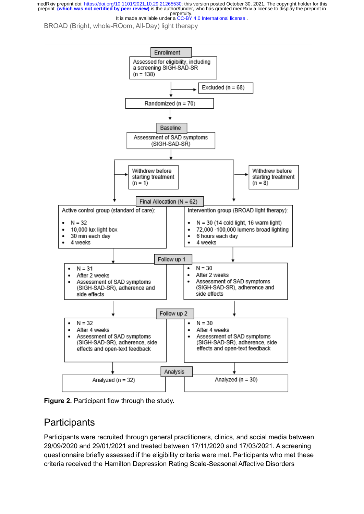It is made available under a CC-BY 4.0 International license.

BROAD (Bright, whole-ROom, All-Day) light therapy



**Figure 2.** Participant flow through the study.

#### **Participants**

Participants were recruited through general practitioners, clinics, and social media between 29/09/2020 and 29/01/2021 and treated between 17/11/2020 and 17/03/2021. A screening questionnaire briefly assessed if the eligibility criteria were met. Participants who met these criteria received the Hamilton Depression Rating Scale-Seasonal Affective Disorders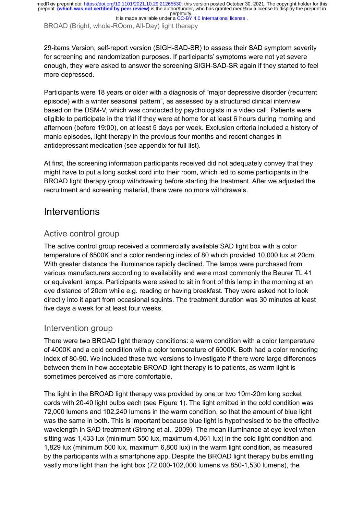It is made available under a CC-BY 4.0 International license.

BROAD (Bright, whole-ROom, All-Day) light therapy

29-items Version, self-report version (SIGH-SAD-SR) to assess their SAD symptom severity for screening and randomization purposes. If participants' symptoms were not yet severe enough, they were asked to answer the screening SIGH-SAD-SR again if they started to feel more depressed.

Participants were 18 years or older with a diagnosis of "major depressive disorder (recurrent episode) with a winter seasonal pattern", as assessed by a structured clinical interview based on the DSM-V, which was conducted by psychologists in a video call. Patients were eligible to participate in the trial if they were at home for at least 6 hours during morning and afternoon (before 19:00), on at least 5 days per week. Exclusion criteria included a history of manic episodes, light therapy in the previous four months and recent changes in antidepressant medication (see appendix for full list).

At first, the screening information participants received did not adequately convey that they might have to put a long socket cord into their room, which led to some participants in the BROAD light therapy group withdrawing before starting the treatment. After we adjusted the recruitment and screening material, there were no more withdrawals.

#### Interventions

#### Active control group

The active control group received a commercially available SAD light box with a color temperature of 6500K and a color rendering index of 80 which provided 10,000 lux at 20cm. With greater distance the illuminance rapidly declined. The lamps were purchased from various manufacturers according to availability and were most commonly the Beurer TL 41 or equivalent lamps. Participants were asked to sit in front of this lamp in the morning at an eye distance of 20cm while e.g. reading or having breakfast. They were asked not to look directly into it apart from occasional squints. The treatment duration was 30 minutes at least five days a week for at least four weeks.

#### Intervention group

There were two BROAD light therapy conditions: a warm condition with a color temperature of 4000K and a cold condition with a color temperature of 6000K. Both had a color rendering index of 80-90. We included these two versions to investigate if there were large differences between them in how acceptable BROAD light therapy is to patients, as warm light is sometimes perceived as more comfortable.

The light in the BROAD light therapy was provided by one or two 10m-20m long socket cords with 20-40 light bulbs each (see Figure 1). The light emitted in the cold condition was 72,000 lumens and 102,240 lumens in the warm condition, so that the amount of blue light was the same in both. This is important because blue light is hypothesised to be the effective wavelength in SAD treatment [\(Strong et al., 2009\).](https://paperpile.com/c/IkezdF/8Rva) The mean illuminance at eye level when sitting was 1,433 lux (minimum 550 lux, maximum 4,061 lux) in the cold light condition and 1,829 lux (minimum 500 lux, maximum 6,800 lux) in the warm light condition, as measured by the participants with a smartphone app. Despite the BROAD light therapy bulbs emitting vastly more light than the light box (72,000-102,000 lumens vs 850-1,530 lumens), the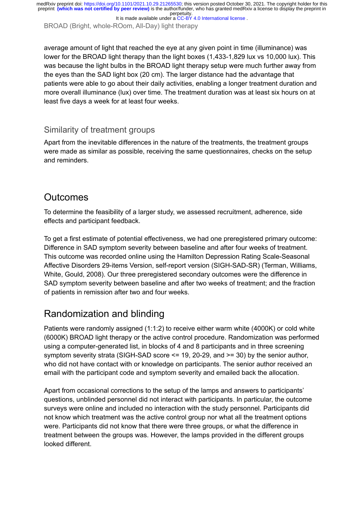It is made available under a CC-BY 4.0 International license.

BROAD (Bright, whole-ROom, All-Day) light therapy

average amount of light that reached the eye at any given point in time (illuminance) was lower for the BROAD light therapy than the light boxes (1,433-1,829 lux vs 10,000 lux). This was because the light bulbs in the BROAD light therapy setup were much further away from the eyes than the SAD light box (20 cm). The larger distance had the advantage that patients were able to go about their daily activities, enabling a longer treatment duration and more overall illuminance (lux) over time. The treatment duration was at least six hours on at least five days a week for at least four weeks.

#### Similarity of treatment groups

Apart from the inevitable differences in the nature of the treatments, the treatment groups were made as similar as possible, receiving the same questionnaires, checks on the setup and reminders.

#### **Outcomes**

To determine the feasibility of a larger study, we assessed recruitment, adherence, side effects and participant feedback.

To get a first estimate of potential effectiveness, we had one preregistered primary outcome: Difference in SAD symptom severity between baseline and after four weeks of treatment. This outcome was recorded online using the Hamilton Depression Rating Scale-Seasonal Affective Disorders 29-items Version, self-report version (SIGH-SAD-SR) [\(Terman, Williams,](https://paperpile.com/c/IkezdF/iCjr) [White, Gould, 2008\).](https://paperpile.com/c/IkezdF/iCjr) Our three preregistered secondary outcomes were the difference in SAD symptom severity between baseline and after two weeks of treatment; and the fraction of patients in remission after two and four weeks.

### Randomization and blinding

Patients were randomly assigned (1:1:2) to receive either warm white (4000K) or cold white (6000K) BROAD light therapy or the active control procedure. Randomization was performed using a computer-generated list, in blocks of 4 and 8 participants and in three screening symptom severity strata (SIGH-SAD score <= 19, 20-29, and >= 30) by the senior author, who did not have contact with or knowledge on participants. The senior author received an email with the participant code and symptom severity and emailed back the allocation.

Apart from occasional corrections to the setup of the lamps and answers to participants' questions, unblinded personnel did not interact with participants. In particular, the outcome surveys were online and included no interaction with the study personnel. Participants did not know which treatment was the active control group nor what all the treatment options were. Participants did not know that there were three groups, or what the difference in treatment between the groups was. However, the lamps provided in the different groups looked different.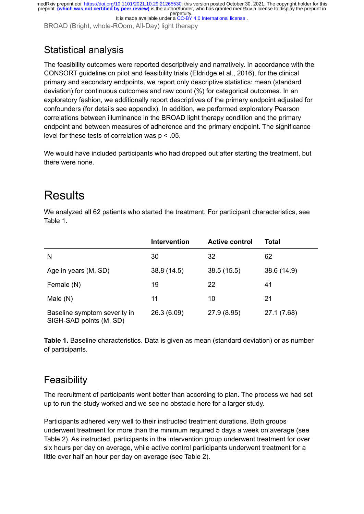It is made available under a CC-BY 4.0 International license.

BROAD (Bright, whole-ROom, All-Day) light therapy

### Statistical analysis

The feasibility outcomes were reported descriptively and narratively. In accordance with the CONSORT guideline on pilot and feasibility trials [\(Eldridge et al., 2016\)](https://paperpile.com/c/IkezdF/xhQA), for the clinical primary and secondary endpoints, we report only descriptive statistics: mean (standard deviation) for continuous outcomes and raw count (%) for categorical outcomes. In an exploratory fashion, we additionally report descriptives of the primary endpoint adjusted for confounders (for details see appendix). In addition, we performed exploratory Pearson correlations between illuminance in the BROAD light therapy condition and the primary endpoint and between measures of adherence and the primary endpoint. The significance level for these tests of correlation was p < .05.

We would have included participants who had dropped out after starting the treatment, but there were none.

### **Results**

We analyzed all 62 patients who started the treatment. For participant characteristics, see Table 1.

|                                                         | <b>Intervention</b> | <b>Active control</b> | Total       |
|---------------------------------------------------------|---------------------|-----------------------|-------------|
| N                                                       | 30                  | 32                    | 62          |
| Age in years (M, SD)                                    | 38.8 (14.5)         | 38.5(15.5)            | 38.6 (14.9) |
| Female (N)                                              | 19                  | 22                    | 41          |
| Male $(N)$                                              | 11                  | 10                    | 21          |
| Baseline symptom severity in<br>SIGH-SAD points (M, SD) | 26.3 (6.09)         | 27.9 (8.95)           | 27.1 (7.68) |

**Table 1.** Baseline characteristics. Data is given as mean (standard deviation) or as number of participants.

### **Feasibility**

The recruitment of participants went better than according to plan. The process we had set up to run the study worked and we see no obstacle here for a larger study.

Participants adhered very well to their instructed treatment durations. Both groups underwent treatment for more than the minimum required 5 days a week on average (see Table 2). As instructed, participants in the intervention group underwent treatment for over six hours per day on average, while active control participants underwent treatment for a little over half an hour per day on average (see Table 2).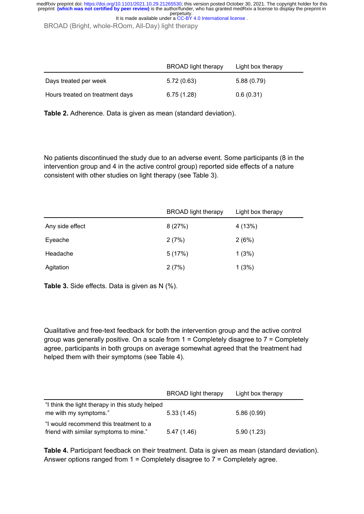BROAD (Bright, whole-ROom, All-Day) light therapy

|                                 | <b>BROAD</b> light therapy | Light box therapy |  |
|---------------------------------|----------------------------|-------------------|--|
| Days treated per week           | 5.72(0.63)                 | 5.88(0.79)        |  |
| Hours treated on treatment days | 6.75(1.28)                 | 0.6(0.31)         |  |

**Table 2.** Adherence. Data is given as mean (standard deviation).

No patients discontinued the study due to an adverse event. Some participants (8 in the intervention group and 4 in the active control group) reported side effects of a nature consistent with other studies on light therapy (see Table 3).

|                 | <b>BROAD</b> light therapy | Light box therapy |
|-----------------|----------------------------|-------------------|
| Any side effect | 8(27%)                     | 4 (13%)           |
| Eyeache         | 2(7%)                      | 2(6%)             |
| Headache        | 5(17%)                     | 1(3%)             |
| Agitation       | 2(7%)                      | 1(3%)             |

**Table 3.** Side effects. Data is given as N (%).

Qualitative and free-text feedback for both the intervention group and the active control group was generally positive. On a scale from 1 = Completely disagree to 7 = Completely agree, participants in both groups on average somewhat agreed that the treatment had helped them with their symptoms (see Table 4).

|                                                                                  | <b>BROAD</b> light therapy | Light box therapy |
|----------------------------------------------------------------------------------|----------------------------|-------------------|
| "I think the light therapy in this study helped<br>me with my symptoms."         | 5.33(1.45)                 | 5.86(0.99)        |
| "I would recommend this treatment to a<br>friend with similar symptoms to mine." | 5.47(1.46)                 | 5.90(1.23)        |

**Table 4.** Participant feedback on their treatment. Data is given as mean (standard deviation). Answer options ranged from 1 = Completely disagree to 7 = Completely agree.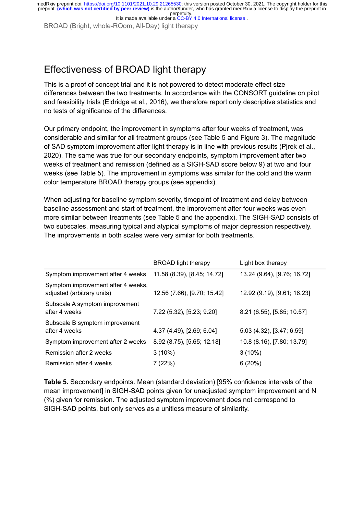It is made available under a CC-BY 4.0 International license.

BROAD (Bright, whole-ROom, All-Day) light therapy

### Effectiveness of BROAD light therapy

This is a proof of concept trial and it is not powered to detect moderate effect size differences between the two treatments. In accordance with the CONSORT guideline on pilot and feasibility trials [\(Eldridge et al., 2016\),](https://paperpile.com/c/IkezdF/xhQA) we therefore report only descriptive statistics and no tests of significance of the differences.

Our primary endpoint, the improvement in symptoms after four weeks of treatment, was considerable and similar for all treatment groups (see Table 5 and Figure 3). The magnitude of SAD symptom improvement after light therapy is in line with previous results [\(Pjrek et al.,](https://paperpile.com/c/IkezdF/XKs9a) [2020\)](https://paperpile.com/c/IkezdF/XKs9a). The same was true for our secondary endpoints, symptom improvement after two weeks of treatment and remission (defined as a SIGH-SAD score below 9) at two and four weeks (see Table 5). The improvement in symptoms was similar for the cold and the warm color temperature BROAD therapy groups (see appendix).

When adjusting for baseline symptom severity, timepoint of treatment and delay between baseline assessment and start of treatment, the improvement after four weeks was even more similar between treatments (see Table 5 and the appendix). The SIGH-SAD consists of two subscales, measuring typical and atypical symptoms of major depression respectively. The improvements in both scales were very similar for both treatments.

|                                                                  | <b>BROAD</b> light therapy  | Light box therapy           |
|------------------------------------------------------------------|-----------------------------|-----------------------------|
| Symptom improvement after 4 weeks 11.58 (8.39), [8.45; 14.72]    |                             | 13.24 (9.64), [9.76; 16.72] |
| Symptom improvement after 4 weeks,<br>adjusted (arbitrary units) | 12.56 (7.66), [9.70; 15.42] | 12.92 (9.19), [9.61; 16.23] |
| Subscale A symptom improvement<br>after 4 weeks                  | 7.22 (5.32), [5.23; 9.20]   | 8.21 (6.55), [5.85; 10.57]  |
| Subscale B symptom improvement<br>after 4 weeks                  | 4.37 (4.49), [2.69; 6.04]   | 5.03 (4.32), [3.47; 6.59]   |
| Symptom improvement after 2 weeks                                | 8.92 (8.75), [5.65; 12.18]  | 10.8 (8.16), [7.80; 13.79]  |
| Remission after 2 weeks                                          | $3(10\%)$                   | $3(10\%)$                   |
| Remission after 4 weeks                                          | 7(22%)                      | 6(20%)                      |

**Table 5.** Secondary endpoints. Mean (standard deviation) [95% confidence intervals of the mean improvement] in SIGH-SAD points given for unadjusted symptom improvement and N (%) given for remission. The adjusted symptom improvement does not correspond to SIGH-SAD points, but only serves as a unitless measure of similarity.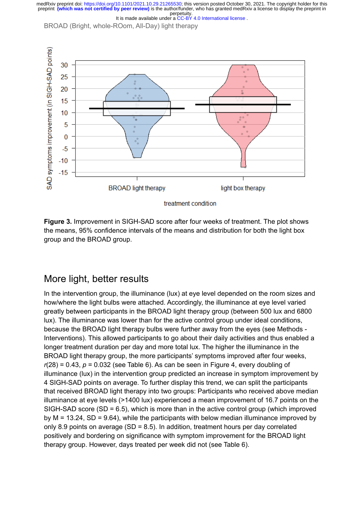BROAD (Bright, whole-ROom, All-Day) light therapy



**Figure 3.** Improvement in SIGH-SAD score after four weeks of treatment. The plot shows the means, 95% confidence intervals of the means and distribution for both the light box group and the BROAD group.

#### More light, better results

In the intervention group, the illuminance (lux) at eye level depended on the room sizes and how/where the light bulbs were attached. Accordingly, the illuminance at eye level varied greatly between participants in the BROAD light therapy group (between 500 lux and 6800 lux). The illuminance was lower than for the active control group under ideal conditions, because the BROAD light therapy bulbs were further away from the eyes (see Methods - Interventions). This allowed participants to go about their daily activities and thus enabled a longer treatment duration per day and more total lux. The higher the illuminance in the BROAD light therapy group, the more participants' symptoms improved after four weeks,  $r(28) = 0.43$ ,  $p = 0.032$  (see Table 6). As can be seen in Figure 4, every doubling of illuminance (lux) in the intervention group predicted an increase in symptom improvement by 4 SIGH-SAD points on average. To further display this trend, we can split the participants that received BROAD light therapy into two groups: Participants who received above median illuminance at eye levels (>1400 lux) experienced a mean improvement of 16.7 points on the SIGH-SAD score (SD = 6.5), which is more than in the active control group (which improved by  $M = 13.24$ ,  $SD = 9.64$ ), while the participants with below median illuminance improved by only 8.9 points on average (SD = 8.5). In addition, treatment hours per day correlated positively and bordering on significance with symptom improvement for the BROAD light therapy group. However, days treated per week did not (see Table 6).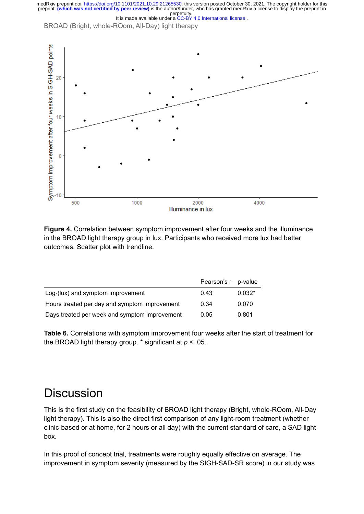



**Figure 4.** Correlation between symptom improvement after four weeks and the illuminance in the BROAD light therapy group in lux. Participants who received more lux had better outcomes. Scatter plot with trendline.

|                                               | Pearson's r p-value |          |
|-----------------------------------------------|---------------------|----------|
| $Log2(lux)$ and symptom improvement           | 0.43                | $0.032*$ |
| Hours treated per day and symptom improvement | 0.34                | 0.070    |
| Days treated per week and symptom improvement | 0.05                | 0.801    |

**Table 6.** Correlations with symptom improvement four weeks after the start of treatment for the BROAD light therapy group. \* significant at *p* < .05.

### **Discussion**

This is the first study on the feasibility of BROAD light therapy (Bright, whole-ROom, All-Day light therapy). This is also the direct first comparison of any light-room treatment (whether clinic-based or at home, for 2 hours or all day) with the current standard of care, a SAD light box.

In this proof of concept trial, treatments were roughly equally effective on average. The improvement in symptom severity (measured by the SIGH-SAD-SR score) in our study was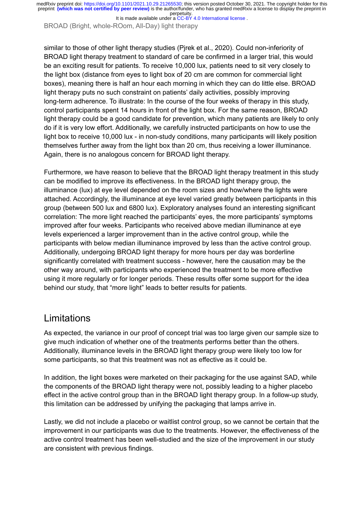It is made available under a CC-BY 4.0 International license.

BROAD (Bright, whole-ROom, All-Day) light therapy

similar to those of other light therapy studies [\(Pjrek et al., 2020\).](https://paperpile.com/c/IkezdF/XKs9a) Could non-inferiority of BROAD light therapy treatment to standard of care be confirmed in a larger trial, this would be an exciting result for patients. To receive 10,000 lux, patients need to sit very closely to the light box (distance from eyes to light box of 20 cm are common for commercial light boxes), meaning there is half an hour each morning in which they can do little else. BROAD light therapy puts no such constraint on patients' daily activities, possibly improving long-term adherence. To illustrate: In the course of the four weeks of therapy in this study, control participants spent 14 hours in front of the light box. For the same reason, BROAD light therapy could be a good candidate for prevention, which many patients are likely to only do if it is very low effort. Additionally, we carefully instructed participants on how to use the light box to receive 10,000 lux - in non-study conditions, many participants will likely position themselves further away from the light box than 20 cm, thus receiving a lower illuminance. Again, there is no analogous concern for BROAD light therapy.

Furthermore, we have reason to believe that the BROAD light therapy treatment in this study can be modified to improve its effectiveness. In the BROAD light therapy group, the illuminance (lux) at eye level depended on the room sizes and how/where the lights were attached. Accordingly, the illuminance at eye level varied greatly between participants in this group (between 500 lux and 6800 lux). Exploratory analyses found an interesting significant correlation: The more light reached the participants' eyes, the more participants' symptoms improved after four weeks. Participants who received above median illuminance at eye levels experienced a larger improvement than in the active control group, while the participants with below median illuminance improved by less than the active control group. Additionally, undergoing BROAD light therapy for more hours per day was borderline significantly correlated with treatment success - however, here the causation may be the other way around, with participants who experienced the treatment to be more effective using it more regularly or for longer periods. These results offer some support for the idea behind our study, that "more light" leads to better results for patients.

#### Limitations

As expected, the variance in our proof of concept trial was too large given our sample size to give much indication of whether one of the treatments performs better than the others. Additionally, illuminance levels in the BROAD light therapy group were likely too low for some participants, so that this treatment was not as effective as it could be.

In addition, the light boxes were marketed on their packaging for the use against SAD, while the components of the BROAD light therapy were not, possibly leading to a higher placebo effect in the active control group than in the BROAD light therapy group. In a follow-up study, this limitation can be addressed by unifying the packaging that lamps arrive in.

Lastly, we did not include a placebo or waitlist control group, so we cannot be certain that the improvement in our participants was due to the treatments. However, the effectiveness of the active control treatment has been well-studied and the size of the improvement in our study are consistent with previous findings.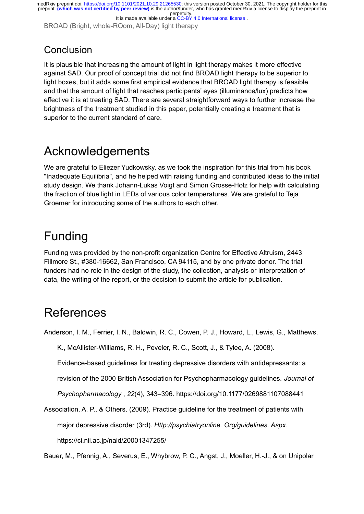BROAD (Bright, whole-ROom, All-Day) light therapy

### **Conclusion**

It is plausible that increasing the amount of light in light therapy makes it more effective against SAD. Our proof of concept trial did not find BROAD light therapy to be superior to light boxes, but it adds some first empirical evidence that BROAD light therapy is feasible and that the amount of light that reaches participants' eyes (illuminance/lux) predicts how effective it is at treating SAD. There are several straightforward ways to further increase the brightness of the treatment studied in this paper, potentially creating a treatment that is superior to the current standard of care.

## Acknowledgements

We are grateful to Eliezer Yudkowsky, as we took the inspiration for this trial from his book "Inadequate Equilibria", and he helped with raising funding and contributed ideas to the initial study design. We thank Johann-Lukas Voigt and Simon Grosse-Holz for help with calculating the fraction of blue light in LEDs of various color temperatures. We are grateful to Teja Groemer for introducing some of the authors to each other.

# Funding

Funding was provided by the non-profit organization Centre for Effective Altruism, 2443 Fillmore St., #380-16662, San Francisco, CA 94115, and by one private donor. The trial funders had no role in the design of the study, the collection, analysis or interpretation of data, the writing of the report, or the decision to submit the article for publication.

# **References**

[Anderson, I. M., Ferrier, I. N., Baldwin, R. C., Cowen, P. J., Howard, L., Lewis, G., Matthews,](http://paperpile.com/b/IkezdF/vpmfo)

[K., McAllister-Williams, R. H., Peveler, R. C., Scott, J., & Tylee, A. \(2008\).](http://paperpile.com/b/IkezdF/vpmfo)

[Evidence-based guidelines for treating depressive disorders with antidepressants: a](http://paperpile.com/b/IkezdF/vpmfo)

[revision of the 2000 British Association for Psychopharmacology guidelines.](http://paperpile.com/b/IkezdF/vpmfo) *Journal of*

*Psychopharmacology* , *22*[\(4\), 343–396. https://doi.org/](http://paperpile.com/b/IkezdF/vpmfo)[10.1177/0269881107088441](http://dx.doi.org/10.1177/0269881107088441)

[Association, A. P., & Others. \(2009\). Practice guideline for the treatment of patients with](http://paperpile.com/b/IkezdF/ViICV) major depressive disorder (3rd). *[Http://psychiatryonline. Org/guidelines. Aspx](http://paperpile.com/b/IkezdF/ViICV)*. <https://ci.nii.ac.jp/naid/20001347255/>

[Bauer, M., Pfennig, A., Severus, E., Whybrow, P. C., Angst, J., Moeller, H.-J., & on Unipolar](http://paperpile.com/b/IkezdF/GeHpI)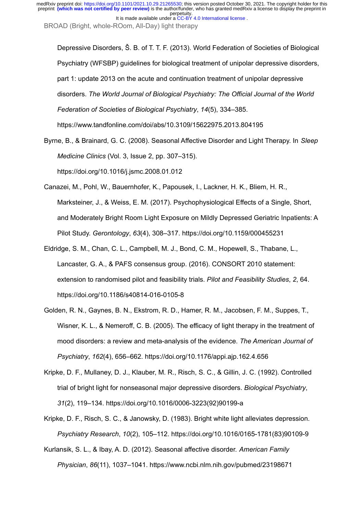BROAD (Bright, whole-ROom, All-Day) light therapy

[Depressive Disorders, Š. B. of T. T. F. \(2013\). World Federation of Societies of Biological](http://paperpile.com/b/IkezdF/GeHpI) [Psychiatry \(WFSBP\) guidelines for biological treatment of unipolar depressive disorders,](http://paperpile.com/b/IkezdF/GeHpI) [part 1: update 2013 on the acute and continuation treatment of unipolar depressive](http://paperpile.com/b/IkezdF/GeHpI) disorders. *[The World Journal of Biological Psychiatry: The Official Journal of the World](http://paperpile.com/b/IkezdF/GeHpI) [Federation of Societies of Biological Psychiatry](http://paperpile.com/b/IkezdF/GeHpI)*, *14*(5), 334–385. <https://www.tandfonline.com/doi/abs/10.3109/15622975.2013.804195>

[Byrne, B., & Brainard, G. C. \(2008\). Seasonal Affective Disorder and Light Therapy. In](http://paperpile.com/b/IkezdF/QiGHQ) *Sleep Medicine Clinics* [\(Vol. 3, Issue 2, pp. 307–315\).](http://paperpile.com/b/IkezdF/QiGHQ) [https://doi.org/](http://paperpile.com/b/IkezdF/QiGHQ)[10.1016/j.jsmc.2008.01.012](http://dx.doi.org/10.1016/j.jsmc.2008.01.012)

[Canazei, M., Pohl, W., Bauernhofer, K., Papousek, I., Lackner, H. K., Bliem, H. R.,](http://paperpile.com/b/IkezdF/WZPZ) [Marksteiner, J., & Weiss, E. M. \(2017\). Psychophysiological Effects of a Single, Short,](http://paperpile.com/b/IkezdF/WZPZ) [and Moderately Bright Room Light Exposure on Mildly Depressed Geriatric Inpatients: A](http://paperpile.com/b/IkezdF/WZPZ) Pilot Study. *Gerontology*, *63*[\(4\), 308–317. https://doi.org/](http://paperpile.com/b/IkezdF/WZPZ)[10.1159/000455231](http://dx.doi.org/10.1159/000455231)

- [Eldridge, S. M., Chan, C. L., Campbell, M. J., Bond, C. M., Hopewell, S., Thabane, L.,](http://paperpile.com/b/IkezdF/xhQA) [Lancaster, G. A., & PAFS consensus group. \(2016\). CONSORT 2010 statement:](http://paperpile.com/b/IkezdF/xhQA) [extension to randomised pilot and feasibility trials.](http://paperpile.com/b/IkezdF/xhQA) *Pilot and Feasibility Studies*, *2*, 64. [https://doi.org/](http://paperpile.com/b/IkezdF/xhQA)[10.1186/s40814-016-0105-8](http://dx.doi.org/10.1186/s40814-016-0105-8)
- [Golden, R. N., Gaynes, B. N., Ekstrom, R. D., Hamer, R. M., Jacobsen, F. M., Suppes, T.,](http://paperpile.com/b/IkezdF/foXw) [Wisner, K. L., & Nemeroff, C. B. \(2005\). The efficacy of light therapy in the treatment of](http://paperpile.com/b/IkezdF/foXw) [mood disorders: a review and meta-analysis of the evidence.](http://paperpile.com/b/IkezdF/foXw) *The American Journal of Psychiatry*, *162*[\(4\), 656–662. https://doi.org/](http://paperpile.com/b/IkezdF/foXw)[10.1176/appi.ajp.162.4.656](http://dx.doi.org/10.1176/appi.ajp.162.4.656)
- [Kripke, D. F., Mullaney, D. J., Klauber, M. R., Risch, S. C., & Gillin, J. C. \(1992\). Controlled](http://paperpile.com/b/IkezdF/tah4) [trial of bright light for nonseasonal major depressive disorders.](http://paperpile.com/b/IkezdF/tah4) *Biological Psychiatry*, *31*[\(2\), 119–134. https://doi.org/](http://paperpile.com/b/IkezdF/tah4)[10.1016/0006-3223\(92\)90199-a](http://dx.doi.org/10.1016/0006-3223(92)90199-a)

[Kripke, D. F., Risch, S. C., & Janowsky, D. \(1983\). Bright white light alleviates depression.](http://paperpile.com/b/IkezdF/KOio) *Psychiatry Research*, *10*[\(2\), 105–112. https://doi.org/](http://paperpile.com/b/IkezdF/KOio)[10.1016/0165-1781\(83\)90109-9](http://dx.doi.org/10.1016/0165-1781(83)90109-9)

[Kurlansik, S. L., & Ibay, A. D. \(2012\). Seasonal affective disorder.](http://paperpile.com/b/IkezdF/YmpOD) *American Family Physician*, *86*[\(11\), 1037–1041.](http://paperpile.com/b/IkezdF/YmpOD)<https://www.ncbi.nlm.nih.gov/pubmed/23198671>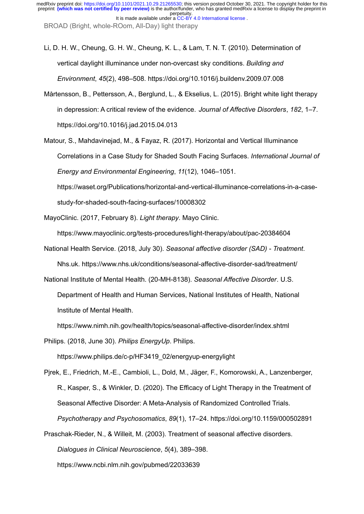[Li, D. H. W., Cheung, G. H. W., Cheung, K. L., & Lam, T. N. T. \(2010\). Determination of](http://paperpile.com/b/IkezdF/e3ZmM) [vertical daylight illuminance under non-overcast sky conditions.](http://paperpile.com/b/IkezdF/e3ZmM) *Building and Environment*, *45*[\(2\), 498–508. https://doi.org/](http://paperpile.com/b/IkezdF/e3ZmM)[10.1016/j.buildenv.2009.07.008](http://dx.doi.org/10.1016/j.buildenv.2009.07.008)

[Mårtensson, B., Pettersson, A., Berglund, L., & Ekselius, L. \(2015\). Bright white light therapy](http://paperpile.com/b/IkezdF/mw86A) [in depression: A critical review of the evidence.](http://paperpile.com/b/IkezdF/mw86A) *Journal of Affective Disorders*, *182*, 1–7. [https://doi.org/](http://paperpile.com/b/IkezdF/mw86A)[10.1016/j.jad.2015.04.013](http://dx.doi.org/10.1016/j.jad.2015.04.013)

[Matour, S., Mahdavinejad, M., & Fayaz, R. \(2017\). Horizontal and Vertical Illuminance](http://paperpile.com/b/IkezdF/sLa4D) [Correlations in a Case Study for Shaded South Facing Surfaces.](http://paperpile.com/b/IkezdF/sLa4D) *International Journal of [Energy and Environmental Engineering](http://paperpile.com/b/IkezdF/sLa4D)*, *11*(12), 1046–1051. [https://waset.org/Publications/horizontal-and-vertical-illuminance-correlations-in-a-case](https://waset.org/Publications/horizontal-and-vertical-illuminance-correlations-in-a-case-study-for-shaded-south-facing-surfaces/10008302)[study-for-shaded-south-facing-surfaces/10008302](https://waset.org/Publications/horizontal-and-vertical-illuminance-correlations-in-a-case-study-for-shaded-south-facing-surfaces/10008302)

[MayoClinic. \(2017, February 8\).](http://paperpile.com/b/IkezdF/W2IED) *Light therapy*. Mayo Clinic.

<https://www.mayoclinic.org/tests-procedures/light-therapy/about/pac-20384604>

National Health Service. (2018, July 30). *[Seasonal affective disorder \(SAD\) - Treatment](http://paperpile.com/b/IkezdF/v8Uw5)*. [Nhs.uk.](http://paperpile.com/b/IkezdF/v8Uw5)<https://www.nhs.uk/conditions/seasonal-affective-disorder-sad/treatment/>

[National Institute of Mental Health. \(20-MH-8138\).](http://paperpile.com/b/IkezdF/MXZDb) *Seasonal Affective Disorder*. U.S.

[Department of Health and Human Services, National Institutes of Health, National](http://paperpile.com/b/IkezdF/MXZDb) [Institute of Mental Health.](http://paperpile.com/b/IkezdF/MXZDb)

<https://www.nimh.nih.gov/health/topics/seasonal-affective-disorder/index.shtml>

[Philips. \(2018, June 30\).](http://paperpile.com/b/IkezdF/6hMfB) *Philips EnergyUp*. Philips.

[https://www.philips.de/c-p/HF3419\\_02/energyup-energylight](https://www.philips.de/c-p/HF3419_02/energyup-energylight)

[Pjrek, E., Friedrich, M.-E., Cambioli, L., Dold, M., Jäger, F., Komorowski, A., Lanzenberger,](http://paperpile.com/b/IkezdF/XKs9a) [R., Kasper, S., & Winkler, D. \(2020\). The Efficacy of Light Therapy in the Treatment of](http://paperpile.com/b/IkezdF/XKs9a) [Seasonal Affective Disorder: A Meta-Analysis of Randomized Controlled Trials.](http://paperpile.com/b/IkezdF/XKs9a) *[Psychotherapy and Psychosomatics](http://paperpile.com/b/IkezdF/XKs9a)*, *89*(1), 17–24. https://doi.org/[10.1159/000502891](http://dx.doi.org/10.1159/000502891)

[Praschak-Rieder, N., & Willeit, M. \(2003\). Treatment of seasonal affective disorders.](http://paperpile.com/b/IkezdF/2Ii8U)

*[Dialogues in Clinical Neuroscience](http://paperpile.com/b/IkezdF/2Ii8U)*, *5*(4), 389–398.

<https://www.ncbi.nlm.nih.gov/pubmed/22033639>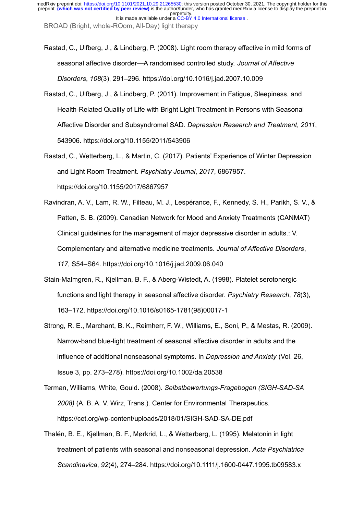BROAD (Bright, whole-ROom, All-Day) light therapy

- [Rastad, C., Ulfberg, J., & Lindberg, P. \(2008\). Light room therapy effective in mild forms of](http://paperpile.com/b/IkezdF/FnUK) [seasonal affective disorder—A randomised controlled study.](http://paperpile.com/b/IkezdF/FnUK) *Journal of Affective Disorders*, *108*[\(3\), 291–296. https://doi.org/](http://paperpile.com/b/IkezdF/FnUK)[10.1016/j.jad.2007.10.009](http://dx.doi.org/10.1016/j.jad.2007.10.009)
- [Rastad, C., Ulfberg, J., & Lindberg, P. \(2011\). Improvement in Fatigue, Sleepiness, and](http://paperpile.com/b/IkezdF/Nri6) [Health-Related Quality of Life with Bright Light Treatment in Persons with Seasonal](http://paperpile.com/b/IkezdF/Nri6) Affective Disorder and Subsyndromal SAD. *[Depression Research and Treatment](http://paperpile.com/b/IkezdF/Nri6)*, *2011*, [543906. https://doi.org/](http://paperpile.com/b/IkezdF/Nri6)[10.1155/2011/543906](http://dx.doi.org/10.1155/2011/543906)
- [Rastad, C., Wetterberg, L., & Martin, C. \(2017\). Patients' Experience of Winter Depression](http://paperpile.com/b/IkezdF/XTjY) [and Light Room Treatment.](http://paperpile.com/b/IkezdF/XTjY) *Psychiatry Journal*, *2017*, 6867957. [https://doi.org/](http://paperpile.com/b/IkezdF/XTjY)[10.1155/2017/6867957](http://dx.doi.org/10.1155/2017/6867957)
- [Ravindran, A. V., Lam, R. W., Filteau, M. J., Lespérance, F., Kennedy, S. H., Parikh, S. V., &](http://paperpile.com/b/IkezdF/ie7ne) [Patten, S. B. \(2009\). Canadian Network for Mood and Anxiety Treatments \(CANMAT\)](http://paperpile.com/b/IkezdF/ie7ne) [Clinical guidelines for the management of major depressive disorder in adults.: V.](http://paperpile.com/b/IkezdF/ie7ne) [Complementary and alternative medicine treatments.](http://paperpile.com/b/IkezdF/ie7ne) *Journal of Affective Disorders*, *117*[, S54–S64. https://doi.org/](http://paperpile.com/b/IkezdF/ie7ne)[10.1016/j.jad.2009.06.040](http://dx.doi.org/10.1016/j.jad.2009.06.040)
- [Stain-Malmgren, R., Kjellman, B. F., & Aberg-Wistedt, A. \(1998\). Platelet serotonergic](http://paperpile.com/b/IkezdF/oFHf) [functions and light therapy in seasonal affective disorder.](http://paperpile.com/b/IkezdF/oFHf) *Psychiatry Research*, *78*(3), [163–172. https://doi.org/](http://paperpile.com/b/IkezdF/oFHf)[10.1016/s0165-1781\(98\)00017-1](http://dx.doi.org/10.1016/s0165-1781(98)00017-1)
- [Strong, R. E., Marchant, B. K., Reimherr, F. W., Williams, E., Soni, P., & Mestas, R. \(2009\).](http://paperpile.com/b/IkezdF/8Rva) [Narrow-band blue-light treatment of seasonal affective disorder in adults and the](http://paperpile.com/b/IkezdF/8Rva) [influence of additional nonseasonal symptoms. In](http://paperpile.com/b/IkezdF/8Rva) *Depression and Anxiety* (Vol. 26, [Issue 3, pp. 273–278\). https://doi.org/](http://paperpile.com/b/IkezdF/8Rva)[10.1002/da.20538](http://dx.doi.org/10.1002/da.20538)
- Terman, Williams, White, Gould. (2008). *[Selbstbewertungs-Fragebogen \(SIGH-SAD-SA](http://paperpile.com/b/IkezdF/iCjr) 2008)* [\(A. B. A. V. Wirz, Trans.\). Center for Environmental Therapeutics.](http://paperpile.com/b/IkezdF/iCjr) <https://cet.org/wp-content/uploads/2018/01/SIGH-SAD-SA-DE.pdf>
- [Thalén, B. E., Kjellman, B. F., Mørkrid, L., & Wetterberg, L. \(1995\). Melatonin in light](http://paperpile.com/b/IkezdF/P2hw) [treatment of patients with seasonal and nonseasonal depression.](http://paperpile.com/b/IkezdF/P2hw) *Acta Psychiatrica Scandinavica*, *92*[\(4\), 274–284. https://doi.org/](http://paperpile.com/b/IkezdF/P2hw)[10.1111/j.1600-0447.1995.tb09583.x](http://dx.doi.org/10.1111/j.1600-0447.1995.tb09583.x)